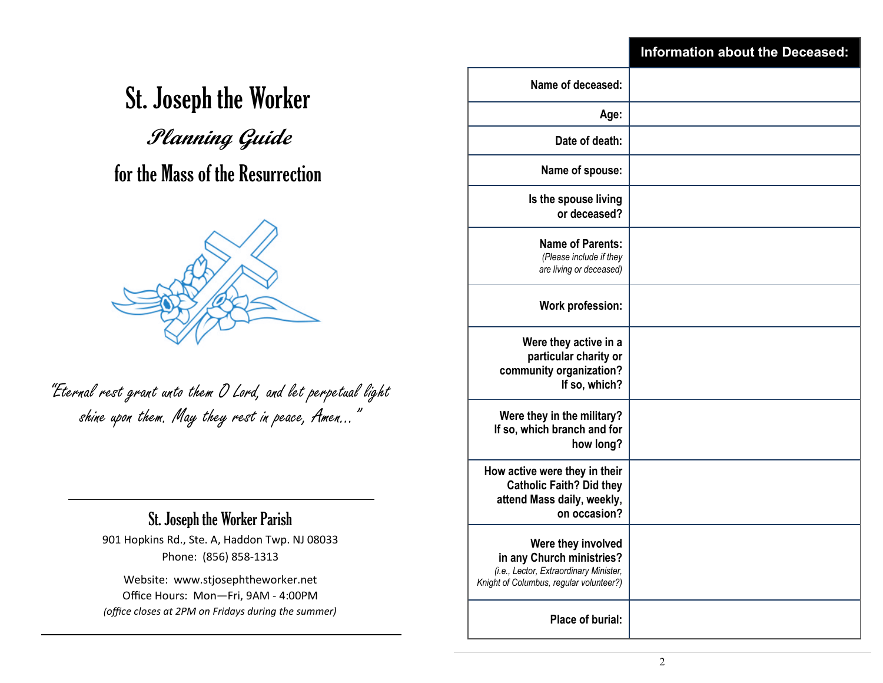#### **Information about the Deceased:**

# St. Joseph the Worker

# **Planning Guide**  for the Mass of the Resurrection



"Eternal rest grant unto them O Lord, and let perpetual light shine upon them. May they rest in peace, Amen…"

> St. Joseph the Worker Parish 901 Hopkins Rd., Ste. A, Haddon Twp. NJ 08033 Phone: (856) 858-1313

Website: www.stjosephtheworker.net Office Hours: Mon—Fri, 9AM - 4:00PM *(office closes at 2PM on Fridays during the summer)*

| Name of deceased:                                                                                                                    |
|--------------------------------------------------------------------------------------------------------------------------------------|
| Age:                                                                                                                                 |
| Date of death:                                                                                                                       |
| Name of spouse:                                                                                                                      |
| Is the spouse living<br>or deceased?                                                                                                 |
| <b>Name of Parents:</b><br>(Please include if they<br>are living or deceased)                                                        |
| Work profession:                                                                                                                     |
| Were they active in a<br>particular charity or<br>community organization?<br>If so, which?                                           |
| Were they in the military?<br>If so, which branch and for<br>how long?                                                               |
| How active were they in their<br><b>Catholic Faith? Did they</b><br>attend Mass daily, weekly,<br>on occasion?                       |
| Were they involved<br>in any Church ministries?<br>(i.e., Lector, Extraordinary Minister,<br>Knight of Columbus, regular volunteer?) |
| Place of burial:                                                                                                                     |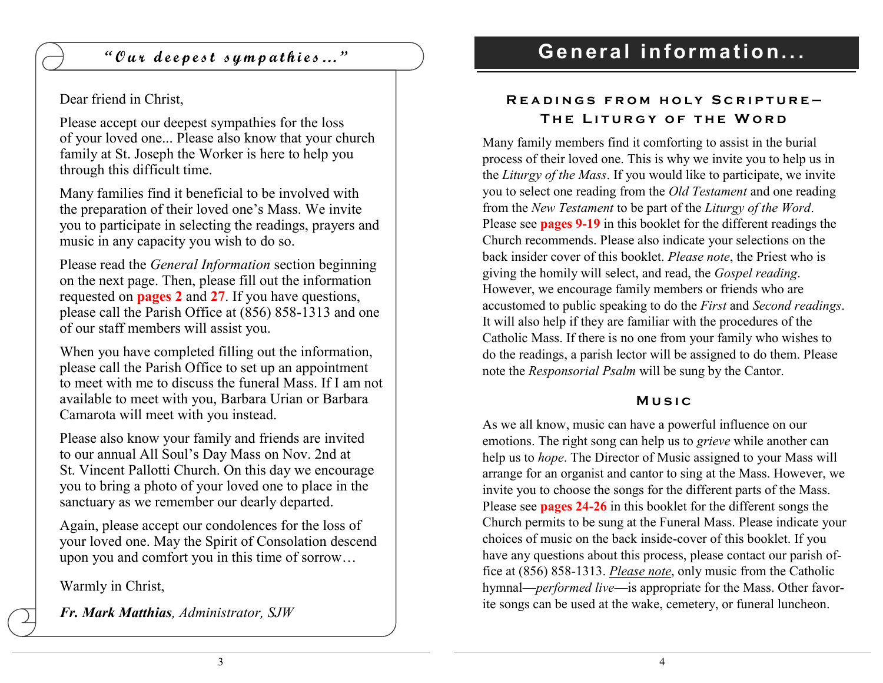### **" O u r d e e pe s t s y m p a t h i e s … "**

### Dear friend in Christ,

Please accept our deepest sympathies for the loss of your loved one... Please also know that your church family at St. Joseph the Worker is here to help you through this difficult time.

Many families find it beneficial to be involved with the preparation of their loved one's Mass. We invite you to participate in selecting the readings, prayers and music in any capacity you wish to do so.

Please read the *General Information* section beginning on the next page. Then, please fill out the information requested on **pages 2** and **27**. If you have questions, please call the Parish Office at (856) 858-1313 and one of our staff members will assist you.

When you have completed filling out the information, please call the Parish Office to set up an appointment to meet with me to discuss the funeral Mass. If I am not available to meet with you, Barbara Urian or Barbara Camarota will meet with you instead.

Please also know your family and friends are invited to our annual All Soul's Day Mass on Nov. 2nd at St. Vincent Pallotti Church. On this day we encourage you to bring a photo of your loved one to place in the sanctuary as we remember our dearly departed.

Again, please accept our condolences for the loss of your loved one. May the Spirit of Consolation descend upon you and comfort you in this time of sorrow…

Warmly in Christ,

*Fr. Mark Matthias, Administrator, SJW*

## **General information...**

### **R e a d i n g s f r o m h o l y S c r i p t u r e — THE LITURGY OF THE WORD**

Many family members find it comforting to assist in the burial process of their loved one. This is why we invite you to help us in the *Liturgy of the Mass*. If you would like to participate, we invite you to select one reading from the *Old Testament* and one reading from the *New Testament* to be part of the *Liturgy of the Word*. Please see **pages 9-19** in this booklet for the different readings the Church recommends. Please also indicate your selections on the back insider cover of this booklet. *Please note*, the Priest who is giving the homily will select, and read, the *Gospel reading*. However, we encourage family members or friends who are accustomed to public speaking to do the *First* and *Second readings*. It will also help if they are familiar with the procedures of the Catholic Mass. If there is no one from your family who wishes to do the readings, a parish lector will be assigned to do them. Please note the *Responsorial Psalm* will be sung by the Cantor.

#### **M u s i c**

As we all know, music can have a powerful influence on our emotions. The right song can help us to *grieve* while another can help us to *hope*. The Director of Music assigned to your Mass will arrange for an organist and cantor to sing at the Mass. However, we invite you to choose the songs for the different parts of the Mass. Please see **pages 24-26** in this booklet for the different songs the Church permits to be sung at the Funeral Mass. Please indicate your choices of music on the back inside-cover of this booklet. If you have any questions about this process, please contact our parish office at (856) 858-1313. *Please note*, only music from the Catholic hymnal—*performed live*—is appropriate for the Mass. Other favorite songs can be used at the wake, cemetery, or funeral luncheon.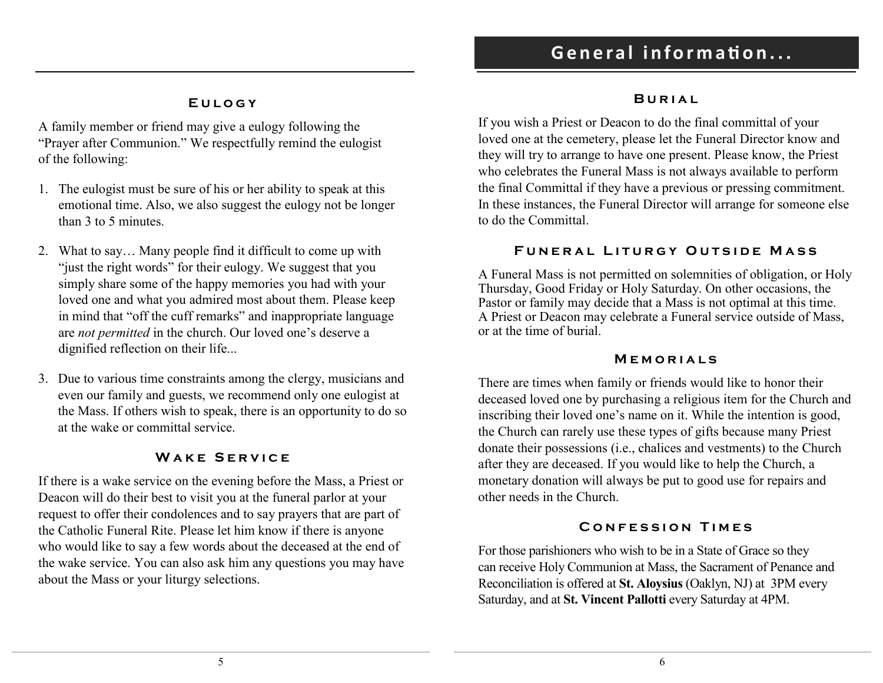## **G e n e r a l i n f o r m a ti o n . . .**

#### **E u l o g y**

A family member or friend may give a eulogy following the "Prayer after Communion." We respectfully remind the eulogist of the following:

- 1. The eulogist must be sure of his or her ability to speak at this emotional time. Also, we also suggest the eulogy not be longer than 3 to 5 minutes.
- 2. What to say… Many people find it difficult to come up with "just the right words" for their eulogy. We suggest that you simply share some of the happy memories you had with your loved one and what you admired most about them. Please keep in mind that "off the cuff remarks" and inappropriate language are *not permitted* in the church. Our loved one's deserve a dignified reflection on their life...
- 3. Due to various time constraints among the clergy, musicians and even our family and guests, we recommend only one eulogist at the Mass. If others wish to speak, there is an opportunity to do so at the wake or committal service.

#### WAKE SERVICE

If there is a wake service on the evening before the Mass, a Priest or Deacon will do their best to visit you at the funeral parlor at your request to offer their condolences and to say prayers that are part of the Catholic Funeral Rite. Please let him know if there is anyone who would like to say a few words about the deceased at the end of the wake service. You can also ask him any questions you may have about the Mass or your liturgy selections.

#### **B u r i a l**

If you wish a Priest or Deacon to do the final committal of your loved one at the cemetery, please let the Funeral Director know and they will try to arrange to have one present. Please know, the Priest who celebrates the Funeral Mass is not always available to perform the final Committal if they have a previous or pressing commitment. In these instances, the Funeral Director will arrange for someone else to do the Committal.

#### **FUNERAL LITURGY OUTSIDE MASS**

A Funeral Mass is not permitted on solemnities of obligation, or Holy Thursday, Good Friday or Holy Saturday. On other occasions, the Pastor or family may decide that a Mass is not optimal at this time. A Priest or Deacon may celebrate a Funeral service outside of Mass, or at the time of burial.

#### **M e m o r i a l s**

There are times when family or friends would like to honor their deceased loved one by purchasing a religious item for the Church and inscribing their loved one's name on it. While the intention is good, the Church can rarely use these types of gifts because many Priest donate their possessions (i.e., chalices and vestments) to the Church after they are deceased. If you would like to help the Church, a monetary donation will always be put to good use for repairs and other needs in the Church.

#### **CONFESSION TIMES**

For those parishioners who wish to be in a State of Grace so they can receive Holy Communion at Mass, the Sacrament of Penance and Reconciliation is offered at **St. Aloysius** (Oaklyn, NJ) at 3PM every Saturday, and at St. Vincent Pallotti every Saturday at 4PM.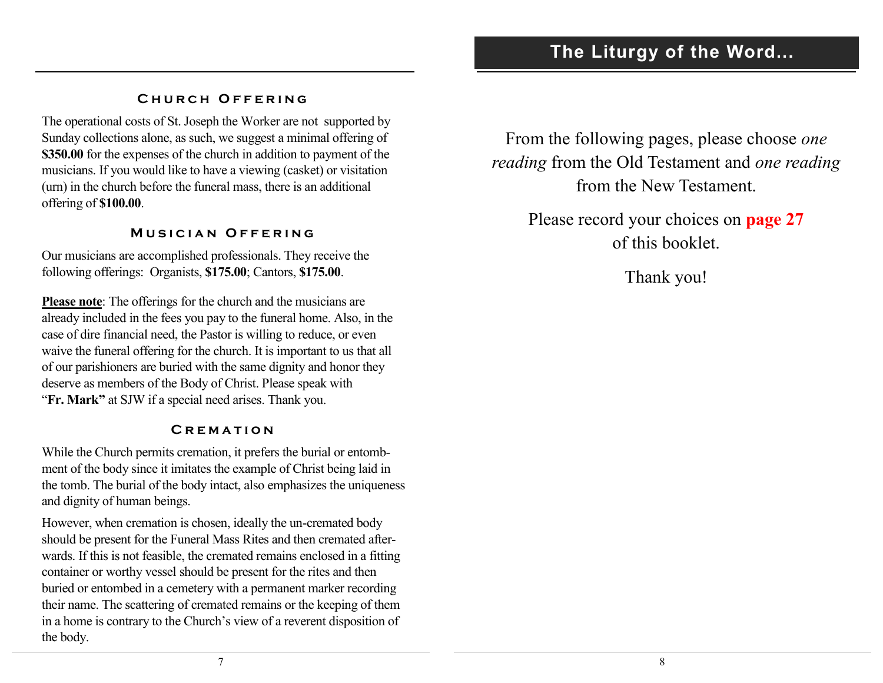## **The Liturgy of the Word...**

#### **CHURCH OFFERING**

The operational costs of St. Joseph the Worker are not supported by Sunday collections alone, as such, we suggest a minimal offering of **\$350.00** for the expenses of the church in addition to payment of the musicians. If you would like to have a viewing (casket) or visitation (urn) in the church before the funeral mass, there is an additional offering of **\$100.00**.

#### **MUSICIAN OFFERING**

Our musicians are accomplished professionals. They receive the following offerings: Organists, **\$175.00**; Cantors, **\$175.00**.

**Please note**: The offerings for the church and the musicians are already included in the fees you pay to the funeral home. Also, in the case of dire financial need, the Pastor is willing to reduce, or even waive the funeral offering for the church. It is important to us that all of our parishioners are buried with the same dignity and honor they deserve as members of the Body of Christ. Please speak with "**Fr. Mark"** at SJW if a special need arises. Thank you.

#### **C r e m a t i o n**

While the Church permits cremation, it prefers the burial or entombment of the body since it imitates the example of Christ being laid in the tomb. The burial of the body intact, also emphasizes the uniqueness and dignity of human beings.

However, when cremation is chosen, ideally the un-cremated body should be present for the Funeral Mass Rites and then cremated afterwards. If this is not feasible, the cremated remains enclosed in a fitting container or worthy vessel should be present for the rites and then buried or entombed in a cemetery with a permanent marker recording their name. The scattering of cremated remains or the keeping of them in a home is contrary to the Church's view of a reverent disposition of the body.

From the following pages, please choose *one reading* from the Old Testament and *one reading*  from the New Testament.

> Please record your choices on **page 27**  of this booklet.

> > Thank you!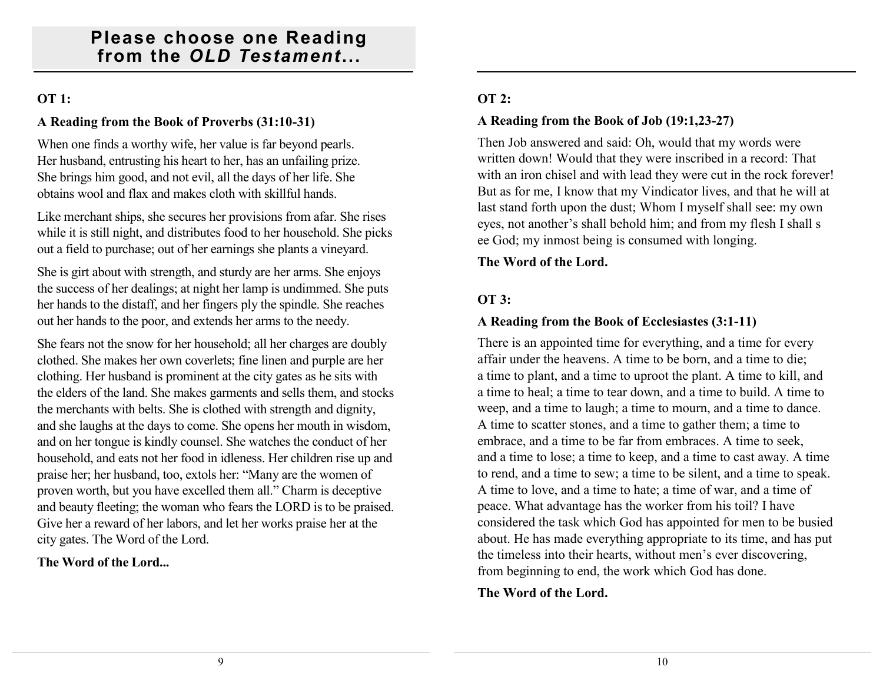#### **OT 1:**

#### **A Reading from the Book of Proverbs (31:10-31)**

When one finds a worthy wife, her value is far beyond pearls. Her husband, entrusting his heart to her, has an unfailing prize. She brings him good, and not evil, all the days of her life. She obtains wool and flax and makes cloth with skillful hands.

Like merchant ships, she secures her provisions from afar. She rises while it is still night, and distributes food to her household. She picks out a field to purchase; out of her earnings she plants a vineyard.

She is girt about with strength, and sturdy are her arms. She enjoys the success of her dealings; at night her lamp is undimmed. She puts her hands to the distaff, and her fingers ply the spindle. She reaches out her hands to the poor, and extends her arms to the needy.

She fears not the snow for her household; all her charges are doubly clothed. She makes her own coverlets; fine linen and purple are her clothing. Her husband is prominent at the city gates as he sits with the elders of the land. She makes garments and sells them, and stocks the merchants with belts. She is clothed with strength and dignity, and she laughs at the days to come. She opens her mouth in wisdom, and on her tongue is kindly counsel. She watches the conduct of her household, and eats not her food in idleness. Her children rise up and praise her; her husband, too, extols her: "Many are the women of proven worth, but you have excelled them all." Charm is deceptive and beauty fleeting; the woman who fears the LORD is to be praised. Give her a reward of her labors, and let her works praise her at the city gates. The Word of the Lord.

#### **The Word of the Lord...**

#### **OT 2:**

#### **A Reading from the Book of Job (19:1,23-27)**

Then Job answered and said: Oh, would that my words were written down! Would that they were inscribed in a record: That with an iron chisel and with lead they were cut in the rock forever! But as for me, I know that my Vindicator lives, and that he will at last stand forth upon the dust; Whom I myself shall see: my own eyes, not another's shall behold him; and from my flesh I shall s ee God; my inmost being is consumed with longing.

#### **The Word of the Lord.**

#### **OT 3:**

#### **A Reading from the Book of Ecclesiastes (3:1-11)**

There is an appointed time for everything, and a time for every affair under the heavens. A time to be born, and a time to die; a time to plant, and a time to uproot the plant. A time to kill, and a time to heal; a time to tear down, and a time to build. A time to weep, and a time to laugh; a time to mourn, and a time to dance. A time to scatter stones, and a time to gather them; a time to embrace, and a time to be far from embraces. A time to seek, and a time to lose; a time to keep, and a time to cast away. A time to rend, and a time to sew; a time to be silent, and a time to speak. A time to love, and a time to hate; a time of war, and a time of peace. What advantage has the worker from his toil? I have considered the task which God has appointed for men to be busied about. He has made everything appropriate to its time, and has put the timeless into their hearts, without men's ever discovering, from beginning to end, the work which God has done.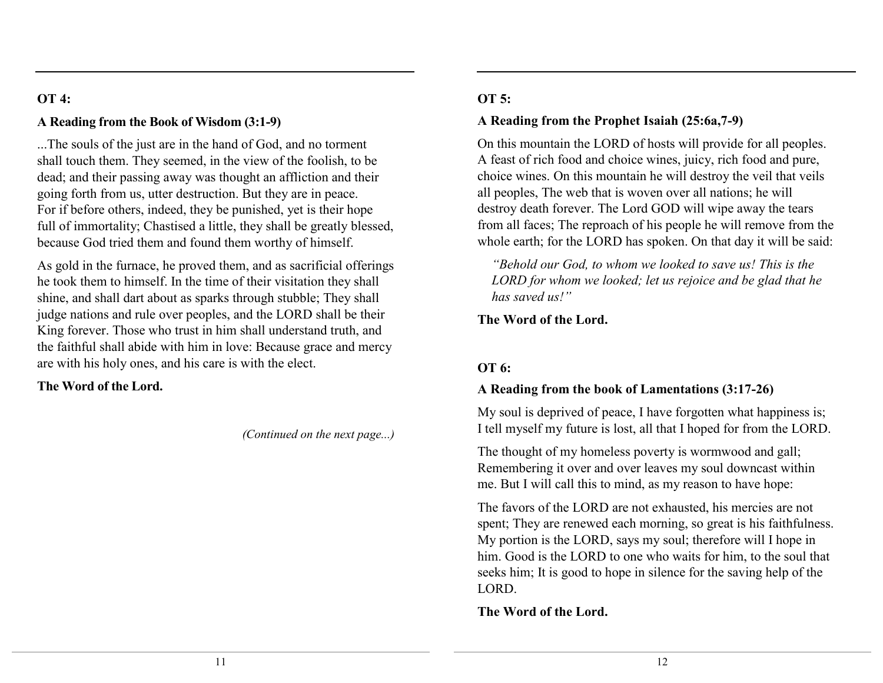#### **OT 4:**

#### **A Reading from the Book of Wisdom (3:1-9)**

...The souls of the just are in the hand of God, and no torment shall touch them. They seemed, in the view of the foolish, to be dead; and their passing away was thought an affliction and their going forth from us, utter destruction. But they are in peace. For if before others, indeed, they be punished, yet is their hope full of immortality; Chastised a little, they shall be greatly blessed, because God tried them and found them worthy of himself.

As gold in the furnace, he proved them, and as sacrificial offerings he took them to himself. In the time of their visitation they shall shine, and shall dart about as sparks through stubble; They shall judge nations and rule over peoples, and the LORD shall be their King forever. Those who trust in him shall understand truth, and the faithful shall abide with him in love: Because grace and mercy are with his holy ones, and his care is with the elect.

#### **The Word of the Lord.**

*(Continued on the next page...)*

#### **OT 5:**

#### **A Reading from the Prophet Isaiah (25:6a,7-9)**

On this mountain the LORD of hosts will provide for all peoples. A feast of rich food and choice wines, juicy, rich food and pure, choice wines. On this mountain he will destroy the veil that veils all peoples, The web that is woven over all nations; he will destroy death forever. The Lord GOD will wipe away the tears from all faces; The reproach of his people he will remove from the whole earth; for the LORD has spoken. On that day it will be said:

*"Behold our God, to whom we looked to save us! This is the LORD for whom we looked; let us rejoice and be glad that he has saved us!"* 

**The Word of the Lord.**

#### **OT 6:**

#### **A Reading from the book of Lamentations (3:17-26)**

My soul is deprived of peace, I have forgotten what happiness is; I tell myself my future is lost, all that I hoped for from the LORD.

The thought of my homeless poverty is wormwood and gall; Remembering it over and over leaves my soul downcast within me. But I will call this to mind, as my reason to have hope:

The favors of the LORD are not exhausted, his mercies are not spent; They are renewed each morning, so great is his faithfulness. My portion is the LORD, says my soul; therefore will I hope in him. Good is the LORD to one who waits for him, to the soul that seeks him; It is good to hope in silence for the saving help of the LORD.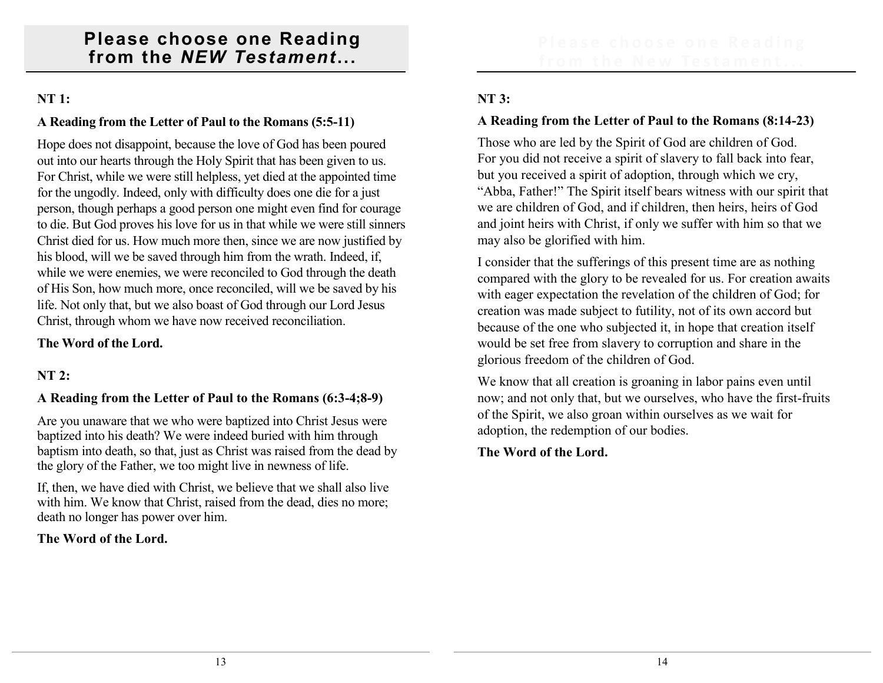#### **NT 1:**

#### **A Reading from the Letter of Paul to the Romans (5:5-11)**

Hope does not disappoint, because the love of God has been poured out into our hearts through the Holy Spirit that has been given to us. For Christ, while we were still helpless, yet died at the appointed time for the ungodly. Indeed, only with difficulty does one die for a just person, though perhaps a good person one might even find for courage to die. But God proves his love for us in that while we were still sinners Christ died for us. How much more then, since we are now justified by his blood, will we be saved through him from the wrath. Indeed, if, while we were enemies, we were reconciled to God through the death of His Son, how much more, once reconciled, will we be saved by his life. Not only that, but we also boast of God through our Lord Jesus Christ, through whom we have now received reconciliation.

#### **The Word of the Lord.**

#### **NT 2:**

#### **A Reading from the Letter of Paul to the Romans (6:3-4;8-9)**

Are you unaware that we who were baptized into Christ Jesus were baptized into his death? We were indeed buried with him through baptism into death, so that, just as Christ was raised from the dead by the glory of the Father, we too might live in newness of life.

If, then, we have died with Christ, we believe that we shall also live with him. We know that Christ, raised from the dead, dies no more; death no longer has power over him.

#### **The Word of the Lord.**

### **NT 3:**

#### **A Reading from the Letter of Paul to the Romans (8:14-23)**

Those who are led by the Spirit of God are children of God. For you did not receive a spirit of slavery to fall back into fear, but you received a spirit of adoption, through which we cry, "Abba, Father!" The Spirit itself bears witness with our spirit that we are children of God, and if children, then heirs, heirs of God and joint heirs with Christ, if only we suffer with him so that we may also be glorified with him.

I consider that the sufferings of this present time are as nothing compared with the glory to be revealed for us. For creation awaits with eager expectation the revelation of the children of God; for creation was made subject to futility, not of its own accord but because of the one who subjected it, in hope that creation itself would be set free from slavery to corruption and share in the glorious freedom of the children of God.

We know that all creation is groaning in labor pains even until now; and not only that, but we ourselves, who have the first-fruits of the Spirit, we also groan within ourselves as we wait for adoption, the redemption of our bodies.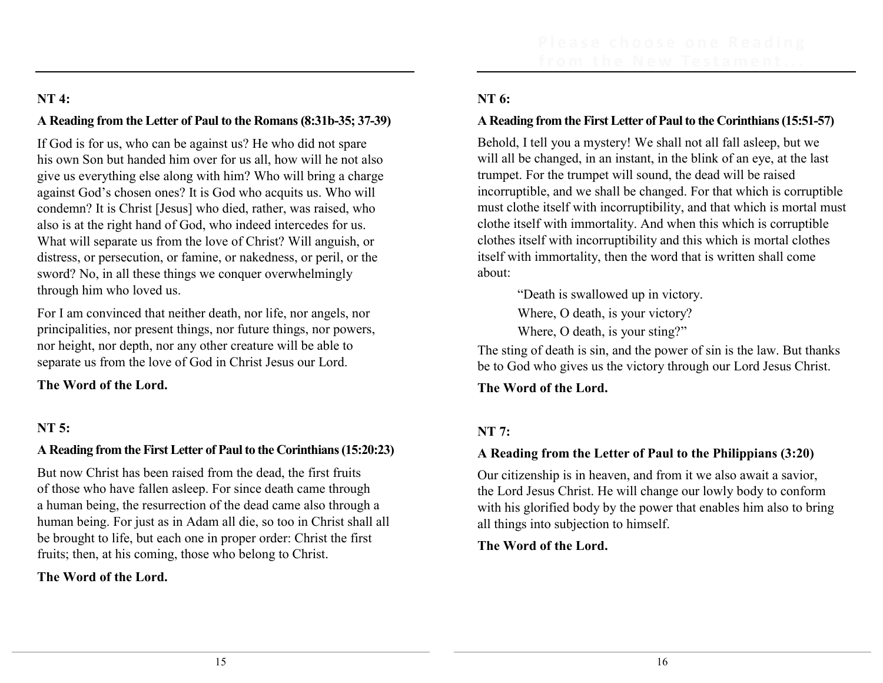#### **NT 4:**

#### **A Reading from the Letter of Paul to the Romans (8:31b-35; 37-39)**

If God is for us, who can be against us? He who did not spare his own Son but handed him over for us all, how will he not also give us everything else along with him? Who will bring a charge against God's chosen ones? It is God who acquits us. Who will condemn? It is Christ [Jesus] who died, rather, was raised, who also is at the right hand of God, who indeed intercedes for us. What will separate us from the love of Christ? Will anguish, or distress, or persecution, or famine, or nakedness, or peril, or the sword? No, in all these things we conquer overwhelmingly through him who loved us.

For I am convinced that neither death, nor life, nor angels, nor principalities, nor present things, nor future things, nor powers, nor height, nor depth, nor any other creature will be able to separate us from the love of God in Christ Jesus our Lord.

**The Word of the Lord.**

#### **NT 5:**

#### **A Reading from the First Letter of Paul to the Corinthians (15:20:23)**

But now Christ has been raised from the dead, the first fruits of those who have fallen asleep. For since death came through a human being, the resurrection of the dead came also through a human being. For just as in Adam all die, so too in Christ shall all be brought to life, but each one in proper order: Christ the first fruits; then, at his coming, those who belong to Christ.

#### **The Word of the Lord.**

#### **NT 6:**

#### **A Reading from the First Letter of Paul to the Corinthians (15:51-57)**

Behold, I tell you a mystery! We shall not all fall asleep, but we will all be changed, in an instant, in the blink of an eye, at the last trumpet. For the trumpet will sound, the dead will be raised incorruptible, and we shall be changed. For that which is corruptible must clothe itself with incorruptibility, and that which is mortal must clothe itself with immortality. And when this which is corruptible clothes itself with incorruptibility and this which is mortal clothes itself with immortality, then the word that is written shall come about:

> "Death is swallowed up in victory. Where, O death, is your victory? Where, O death, is your sting?"

The sting of death is sin, and the power of sin is the law. But thanks be to God who gives us the victory through our Lord Jesus Christ.

#### **The Word of the Lord.**

#### **NT 7:**

#### **A Reading from the Letter of Paul to the Philippians (3:20)**

Our citizenship is in heaven, and from it we also await a savior, the Lord Jesus Christ. He will change our lowly body to conform with his glorified body by the power that enables him also to bring all things into subjection to himself.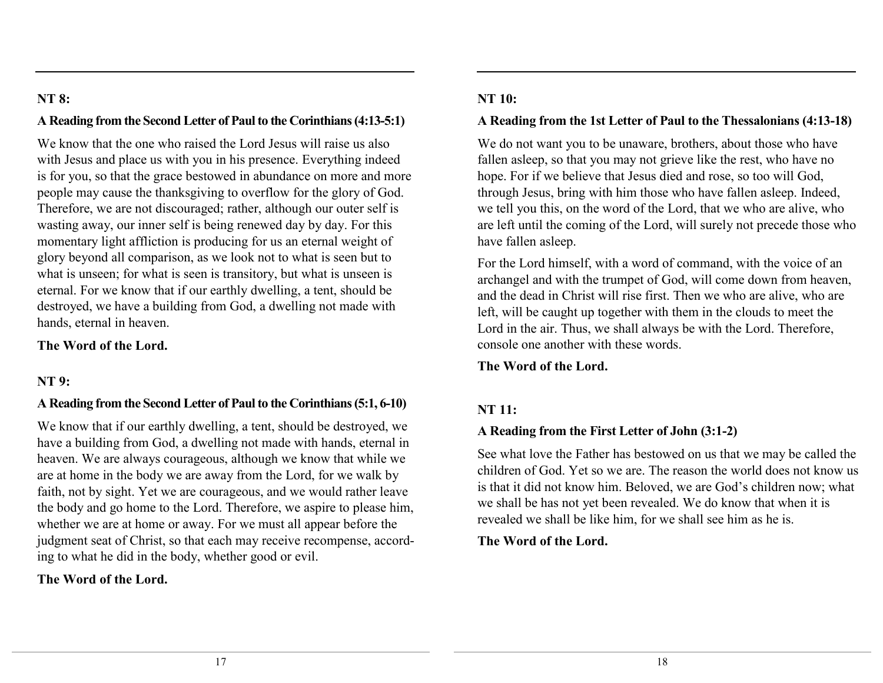#### **NT 8:**

#### **A Reading from the Second Letter of Paul to the Corinthians (4:13-5:1)**

We know that the one who raised the Lord Jesus will raise us also with Jesus and place us with you in his presence. Everything indeed is for you, so that the grace bestowed in abundance on more and more people may cause the thanksgiving to overflow for the glory of God. Therefore, we are not discouraged; rather, although our outer self is wasting away, our inner self is being renewed day by day. For this momentary light affliction is producing for us an eternal weight of glory beyond all comparison, as we look not to what is seen but to what is unseen; for what is seen is transitory, but what is unseen is eternal. For we know that if our earthly dwelling, a tent, should be destroyed, we have a building from God, a dwelling not made with hands, eternal in heaven.

#### **The Word of the Lord.**

#### **NT 9:**

#### **A Reading from the Second Letter of Paul to the Corinthians (5:1, 6-10)**

We know that if our earthly dwelling, a tent, should be destroyed, we have a building from God, a dwelling not made with hands, eternal in heaven. We are always courageous, although we know that while we are at home in the body we are away from the Lord, for we walk by faith, not by sight. Yet we are courageous, and we would rather leave the body and go home to the Lord. Therefore, we aspire to please him, whether we are at home or away. For we must all appear before the judgment seat of Christ, so that each may receive recompense, according to what he did in the body, whether good or evil.

#### **The Word of the Lord.**

#### **NT 10:**

#### **A Reading from the 1st Letter of Paul to the Thessalonians (4:13-18)**

We do not want you to be unaware, brothers, about those who have fallen asleep, so that you may not grieve like the rest, who have no hope. For if we believe that Jesus died and rose, so too will God, through Jesus, bring with him those who have fallen asleep. Indeed, we tell you this, on the word of the Lord, that we who are alive, who are left until the coming of the Lord, will surely not precede those who have fallen asleep.

For the Lord himself, with a word of command, with the voice of an archangel and with the trumpet of God, will come down from heaven, and the dead in Christ will rise first. Then we who are alive, who are left, will be caught up together with them in the clouds to meet the Lord in the air. Thus, we shall always be with the Lord. Therefore, console one another with these words.

**The Word of the Lord.**

#### **NT 11:**

#### **A Reading from the First Letter of John (3:1-2)**

See what love the Father has bestowed on us that we may be called the children of God. Yet so we are. The reason the world does not know us is that it did not know him. Beloved, we are God's children now; what we shall be has not yet been revealed. We do know that when it is revealed we shall be like him, for we shall see him as he is.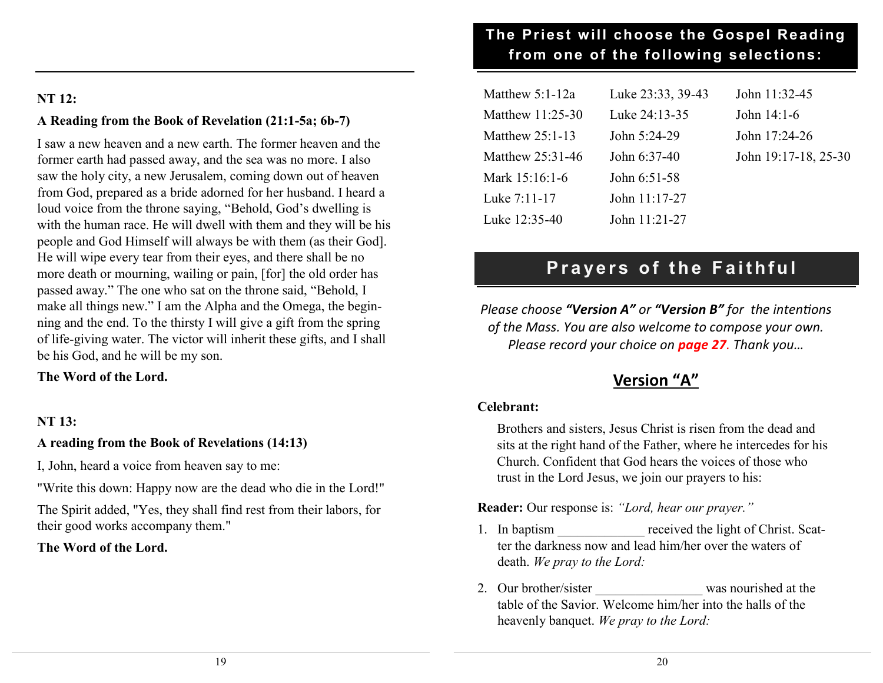#### **NT 12:**

#### **A Reading from the Book of Revelation (21:1-5a; 6b-7)**

I saw a new heaven and a new earth. The former heaven and the former earth had passed away, and the sea was no more. I also saw the holy city, a new Jerusalem, coming down out of heaven from God, prepared as a bride adorned for her husband. I heard a loud voice from the throne saying, "Behold, God's dwelling is with the human race. He will dwell with them and they will be his people and God Himself will always be with them (as their God]. He will wipe every tear from their eyes, and there shall be no more death or mourning, wailing or pain, [for] the old order has passed away." The one who sat on the throne said, "Behold, I make all things new." I am the Alpha and the Omega, the beginning and the end. To the thirsty I will give a gift from the spring of life-giving water. The victor will inherit these gifts, and I shall be his God, and he will be my son.

**The Word of the Lord.**

#### **NT 13:**

#### **A reading from the Book of Revelations (14:13)**

I, John, heard a voice from heaven say to me:

"Write this down: Happy now are the dead who die in the Lord!"

The Spirit added, "Yes, they shall find rest from their labors, for their good works accompany them."

#### **The Word of the Lord.**

## **The Priest will choose the Gospel Reading from one of the following selections:**

| Matthew $5:1-12a$ | Luke 23:33, 39-43 | John 11:32-45        |
|-------------------|-------------------|----------------------|
| Matthew 11:25-30  | Luke 24:13-35     | John 14:1-6          |
| Matthew $25:1-13$ | John 5:24-29      | John 17:24-26        |
| Matthew 25:31-46  | John 6:37-40      | John 19:17-18, 25-30 |
| Mark 15:16:1-6    | John 6:51-58      |                      |
| Luke 7:11-17      | John 11:17-27     |                      |
| Luke 12:35-40     | John 11:21-27     |                      |

## **Prayers of the Faithful**

*Please choose "Version A" or "Version B" for the intentions of the Mass. You are also welcome to compose your own. Please record your choice on page 27. Thank you…*

## **Version "A"**

#### **Celebrant:**

Brothers and sisters, Jesus Christ is risen from the dead and sits at the right hand of the Father, where he intercedes for his Church. Confident that God hears the voices of those who trust in the Lord Jesus, we join our prayers to his:

#### **Reader:** Our response is: *"Lord, hear our prayer."*

- 1. In baptism received the light of Christ. Scatter the darkness now and lead him/her over the waters of death. *We pray to the Lord:*
- 2. Our brother/sister was nourished at the table of the Savior. Welcome him/her into the halls of the heavenly banquet. *We pray to the Lord:*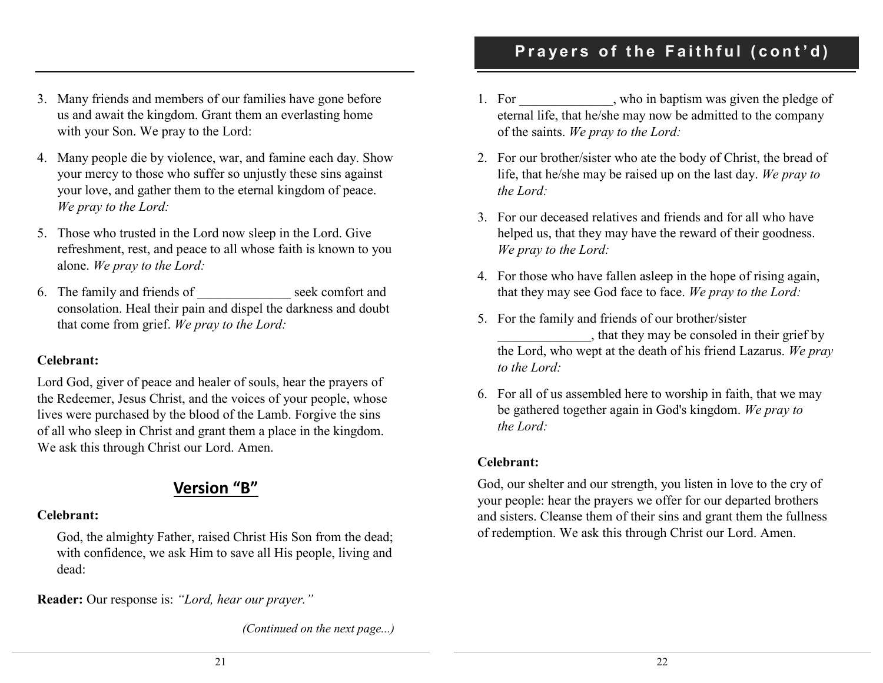- 3. Many friends and members of our families have gone before us and await the kingdom. Grant them an everlasting home with your Son. We pray to the Lord:
- 4. Many people die by violence, war, and famine each day. Show your mercy to those who suffer so unjustly these sins against your love, and gather them to the eternal kingdom of peace. *We pray to the Lord:*
- 5. Those who trusted in the Lord now sleep in the Lord. Give refreshment, rest, and peace to all whose faith is known to you alone. *We pray to the Lord:*
- 6. The family and friends of seek comfort and consolation. Heal their pain and dispel the darkness and doubt that come from grief. *We pray to the Lord:*

### **Celebrant:**

Lord God, giver of peace and healer of souls, hear the prayers of the Redeemer, Jesus Christ, and the voices of your people, whose lives were purchased by the blood of the Lamb. Forgive the sins of all who sleep in Christ and grant them a place in the kingdom. We ask this through Christ our Lord. Amen.

## **Version "B"**

### **Celebrant:**

God, the almighty Father, raised Christ His Son from the dead; with confidence, we ask Him to save all His people, living and dead:

**Reader:** Our response is: *"Lord, hear our prayer."*

*(Continued on the next page...)*

- 1. For \_\_\_\_\_\_\_\_\_\_\_, who in baptism was given the pledge of eternal life, that he/she may now be admitted to the company of the saints. *We pray to the Lord:*
- 2. For our brother/sister who ate the body of Christ, the bread of life, that he/she may be raised up on the last day. *We pray to the Lord:*
- 3. For our deceased relatives and friends and for all who have helped us, that they may have the reward of their goodness. *We pray to the Lord:*
- 4. For those who have fallen asleep in the hope of rising again, that they may see God face to face. *We pray to the Lord:*
- 5. For the family and friends of our brother/sister \_\_\_\_\_\_\_\_\_\_\_\_\_\_, that they may be consoled in their grief by the Lord, who wept at the death of his friend Lazarus. *We pray to the Lord:*
- 6. For all of us assembled here to worship in faith, that we may be gathered together again in God's kingdom. *We pray to the Lord:*

## **Celebrant:**

God, our shelter and our strength, you listen in love to the cry of your people: hear the prayers we offer for our departed brothers and sisters. Cleanse them of their sins and grant them the fullness of redemption. We ask this through Christ our Lord. Amen.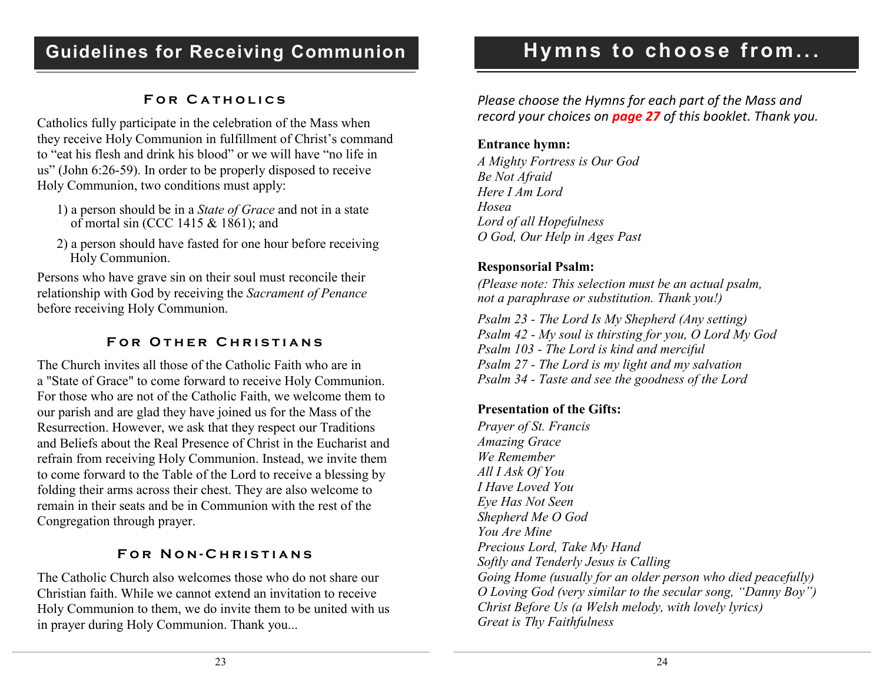## **Guidelines for Receiving Communion**

#### **FOR CATHOLICS**

Catholics fully participate in the celebration of the Mass when they receive Holy Communion in fulfillment of Christ's command to "eat his flesh and drink his blood" or we will have "no life in us" (John 6:26-59). In order to be properly disposed to receive Holy Communion, two conditions must apply:

- 1) a person should be in a *State of Grace* and not in a state of mortal sin (CCC 1415  $& 1861$ ); and
- 2) a person should have fasted for one hour before receiving Holy Communion.

Persons who have grave sin on their soul must reconcile their relationship with God by receiving the *Sacrament of Penance*  before receiving Holy Communion.

#### **FOR OTHER CHRISTIANS**

The Church invites all those of the Catholic Faith who are in a "State of Grace" to come forward to receive Holy Communion. For those who are not of the Catholic Faith, we welcome them to our parish and are glad they have joined us for the Mass of the Resurrection. However, we ask that they respect our Traditions and Beliefs about the Real Presence of Christ in the Eucharist and refrain from receiving Holy Communion. Instead, we invite them to come forward to the Table of the Lord to receive a blessing by folding their arms across their chest. They are also welcome to remain in their seats and be in Communion with the rest of the Congregation through prayer.

#### **F o r N o n - C h r i s t i a n s**

The Catholic Church also welcomes those who do not share our Christian faith. While we cannot extend an invitation to receive Holy Communion to them, we do invite them to be united with us in prayer during Holy Communion. Thank you...

## **Hymns to choose from...**

*Please choose the Hymns for each part of the Mass and record your choices on page 27 of this booklet. Thank you.*

#### **Entrance hymn:**

*A Mighty Fortress is Our God Be Not Afraid Here I Am Lord Hosea Lord of all Hopefulness O God, Our Help in Ages Past*

#### **Responsorial Psalm:**

*(Please note: This selection must be an actual psalm, not a paraphrase or substitution. Thank you!)* 

*Psalm 23 - The Lord Is My Shepherd (Any setting) Psalm 42 - My soul is thirsting for you, O Lord My God Psalm 103 - The Lord is kind and merciful Psalm 27 - The Lord is my light and my salvation Psalm 34 - Taste and see the goodness of the Lord*

#### **Presentation of the Gifts:**

*Prayer of St. Francis Amazing Grace We Remember All I Ask Of You I Have Loved You Eye Has Not Seen Shepherd Me O God You Are Mine Precious Lord, Take My Hand Softly and Tenderly Jesus is Calling Going Home (usually for an older person who died peacefully) O Loving God (very similar to the secular song, "Danny Boy") Christ Before Us (a Welsh melody, with lovely lyrics) Great is Thy Faithfulness*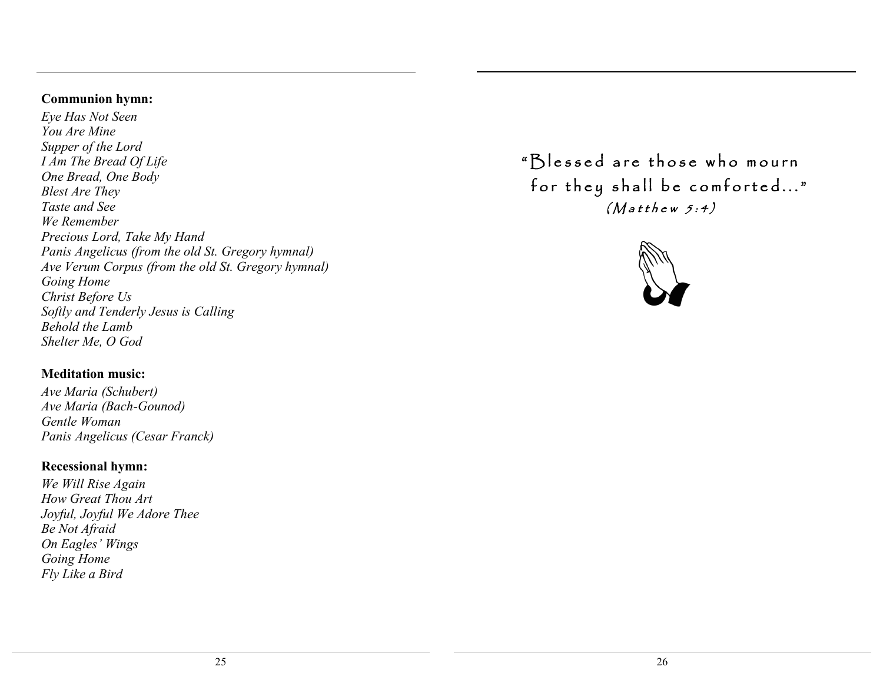#### **Communion hymn:**

*Eye Has Not Seen You Are Mine Supper of the Lord I Am The Bread Of Life One Bread, One Body Blest Are They Taste and See We Remember Precious Lord, Take My Hand Panis Angelicus (from the old St. Gregory hymnal) Ave Verum Corpus (from the old St. Gregory hymnal) Going Home Christ Before Us Softly and Tenderly Jesus is Calling Behold the Lamb Shelter Me, O God*

#### **Meditation music:**

*Ave Maria (Schubert) Ave Maria (Bach-Gounod) Gentle Woman Panis Angelicus (Cesar Franck)*

#### **Recessional hymn:**

*We Will Rise Again How Great Thou Art Joyful, Joyful We Adore Thee Be Not Afraid On Eagles' Wings Going Home Fly Like a Bird*

"Blessed are those who mourn for they shall be comforted..."  $(M$ atthew  $5:4)$